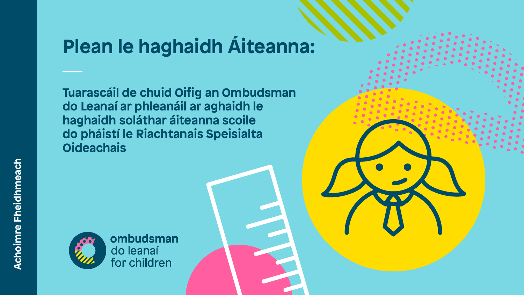# **Plean le haghaidh Áiteanna:**

**arascáil de chuid Oifig an Ombudsman do Leanaí ar phleanáil ar aghaidh le haghaidh soláthar áiteanna scoile do pháistí le Riachtanais Speisialta Oideachais**



ombudsman do leanaí<br>for children

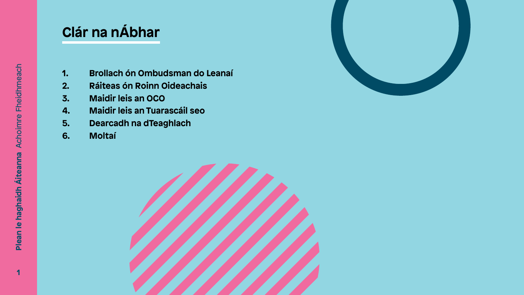- **1. Brollach ón Ombudsman do Leanaí**
- **2. Ráiteas ón Roinn Oideachais**
- **3. Maidir leis an OCO**
- **4. Maidir leis an Tuarascáil seo**
- **5. Dearcadh na dTeaghlach**
- **6. Moltaí**



## **Clár na nÁbhar**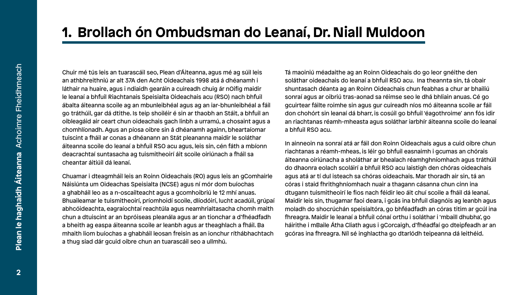### **1. Brollach ón Ombudsman do Leanaí, Dr. Niall Muldoon**

Chuir mé tús leis an tuarascáil seo, Plean d'Áiteanna, agus mé ag súil leis an athbhreithniú ar alt 37A den Acht Oideachais 1998 atá á dhéanamh i láthair na huaire, agus i ndiaidh gearáin a cuireadh chuig ár nOifig maidir le leanaí a bhfuil Riachtanais Speisialta Oideachais acu (RSO) nach bhfuil ábalta áiteanna scoile ag an mbunleibhéal agus ag an iar-bhunleibhéal a fáil go tráthúil, gar dá dtithe. Is teip shoiléir é sin ar thaobh an Stáit, a bhfuil an oibleagáid air ceart chun oideachais gach linbh a urramú, a chosaint agus a chomhlíonadh. Agus an píosa oibre sin á dhéanamh againn, bheartaíomar tuiscint a fháil ar conas a dhéanann an Stát pleananna maidir le soláthar

Tá maoiniú méadaithe ag an Roinn Oideachais do go leor gnéithe den soláthar oideachais do leanaí a bhfuil RSO acu. Ina theannta sin, tá obair shuntasach déanta ag an Roinn Oideachais chun feabhas a chur ar bhailiú sonraí agus ar oibriú tras-aonad sa réimse seo le dhá bhliain anuas. Cé go gcuirtear fáilte roimhe sin agus gur cuireadh níos mó áiteanna scoile ar fáil don chohórt sin leanaí dá bharr, is cosúil go bhfuil 'éagothroime' ann fós idir an riachtanas réamh-mheasta agus soláthar iarbhír áiteanna scoile do leanaí a bhfuil RSO acu.







áiteanna scoile do leanaí a bhfuil RSO acu agus, leis sin, cén fáth a mbíonn deacrachtaí suntasacha ag tuismitheoirí áit scoile oiriúnach a fháil sa cheantar áitiúil dá leanaí. Chuamar i dteagmháil leis an Roinn Oideachais (RO) agus leis an gComhairle Náisiúnta um Oideachas Speisialta (NCSE) agus ní mór dom buíochas a ghabháil leo as a n-oscailteacht agus a gcomhoibriú le 12 mhí anuas. Bhuaileamar le tuismitheoirí, príomhoidí scoile, dlíodóirí, lucht acadúil, grúpaí abhcóideachta, eagraíochtaí reachtúla agus neamhrialtasacha chomh maith chun a dtuiscint ar an bpróiseas pleanála agus ar an tionchar a d'fhéadfadh a bheith ag easpa áiteanna scoile ar leanbh agus ar theaghlach a fháil. Ba mhaith liom buíochas a ghabháil leosan freisin as an ionchur ríthábhachtach a thug siad dár gcuid oibre chun an tuarascáil seo a ullmhú. In ainneoin na sonraí atá ar fáil don Roinn Oideachais agus a cuid oibre chun riachtanas a réamh-mheas, is léir go bhfuil easnaimh i gcumas an chórais áiteanna oiriúnacha a sholáthar ar bhealach réamhghníomhach agus tráthúil do dhaonra eolach scoláirí a bhfuil RSO acu laistigh den chóras oideachais agus atá ar tí dul isteach sa chóras oideachais. Mar thoradh air sin, tá an córas i staid fhrithghníomhach nuair a thagann cásanna chun cinn ina dtugann tuismitheoirí le fios nach féidir leo áit chuí scoile a fháil dá leanaí. Maidir leis sin, thugamar faoi deara, i gcás ina bhfuil diagnóis ag leanbh agus moladh do shocrúchán speisialtóra, go bhféadfadh an córas titim ar gcúl ina fhreagra. Maidir le leanaí a bhfuil cónaí orthu i soláthar i 'mbaill dhubha', go háirithe i mBaile Átha Cliath agus i gCorcaigh, d'fhéadfaí go dteipfeadh ar an gcóras ina fhreagra. Níl sé inghlactha go dtarlódh teipeanna dá leithéid.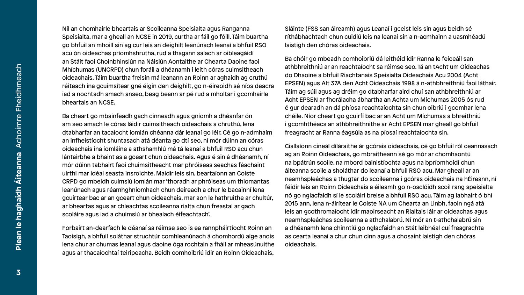Ba cheart go mbainfeadh gach cinneadh agus gníomh a dhéanfar ón am seo amach le córas láidir cuimsitheach oideachais a chruthú, lena an infheistíocht shuntasach atá déanta go dtí seo, ní mór dúinn an córas oideachais ina iomláine a athshamhlú má tá leanaí a bhfuil RSO acu chun lántairbhe a bhaint as a gceart chun oideachais. Agus é sin á dhéanamh, ní mór dúinn tabhairt faoi chuimsitheacht mar phróiseas seachas féachaint uirthi mar idéal seasta insroichte. Maidir leis sin, beartaíonn an Coiste CRPD go mbeidh cuimsiú iomlán mar 'thoradh ar phróiseas um thiomantas leanúnach agus réamhghníomhach chun deireadh a chur le bacainní lena gcuirtear bac ar an gceart chun oideachais, mar aon le hathruithe ar chultúr, ar bheartas agus ar chleachtas scoileanna rialta chun freastal ar gach scoláire agus iad a chuimsiú ar bhealach éifeachtach'.

Níl an chomhairle bheartais ar Scoileanna Speisialta agus Ranganna Speisialta, mar a gheall an NCSE in 2019, curtha ar fáil go fóill. Táim buartha go bhfuil an mhoill sin ag cur leis an deighilt leanúnach leanaí a bhfuil RSO acu ón oideachas príomhshrutha, rud a thagann salach ar oibleagáidí an Stáit faoi Choinbhinsiún na Náisiún Aontaithe ar Chearta Daoine faoi Mhíchumas (UNCRPD) chun foráil a dhéanamh i leith córas cuimsitheach oideachais. Táim buartha freisin má leanann an Roinn ar aghaidh ag cruthú réiteach ina gcuimsítear gné éigin den deighilt, go n-éireoidh sé níos deacra iad a nochtadh amach anseo, beag beann ar pé rud a mholtar i gcomhairle bheartais an NCSE. dtabharfar an tacaíocht iomlán chéanna dár leanaí go léir. Cé go n-admhaím Sláinte (FSS san áireamh) agus Leanaí i gceist leis sin agus beidh sé ríthábhachtach chun cuidiú leis na leanaí sin a n-acmhainn a uasmhéadú laistigh den chóras oideachais. Ba chóir go mbeadh comhoibriú dá leithéid idir Ranna le feiceáil san athbhreithniú ar an reachtaíocht sa réimse seo. Tá an tAcht um Oideachas do Dhaoine a bhfuil Riachtanais Speisialta Oideachais Acu 2004 (Acht EPSEN) agus Alt 37A den Acht Oideachais 1998 á n-athbhreithniú faoi láthair. Táim ag súil agus ag dréim go dtabharfar aird chuí san athbhreithniú ar Acht EPSEN ar fhorálacha ábhartha an Achta um Míchumas 2005 ós rud é gur dearadh an dá phíosa reachtaíochta sin chun oibriú i gcomhar lena chéile. Níor cheart go gcuirfí bac ar an Acht um Míchumas a bhreithniú i gcomhthéacs an athbhreithnithe ar Acht EPSEN mar gheall go bhfuil freagracht ar Ranna éagsúla as na píosaí reachtaíochta sin.

Forbairt an-dearfach le déanaí sa réimse seo is ea rannpháirtíocht Roinn an Taoisigh, a bhfuil soláthar struchtúr comhleanúnach á chomhordú aige anois lena chur ar chumas leanaí agus daoine óga rochtain a fháil ar mheasúnuithe agus ar thacaíochtaí teiripeacha. Beidh comhoibriú idir an Roinn Oideachais,

Ciallaíonn cineál díláraithe ár gcórais oideachais, cé go bhfuil ról ceannasach ag an Roinn Oideachais, go mbraitheann sé go mór ar chomhaontú na bpátrún scoile, na mbord bainistíochta agus na bpríomhoidí chun áiteanna scoile a sholáthar do leanaí a bhfuil RSO acu. Mar gheall ar an neamhspleáchas a thugtar do scoileanna i gcóras oideachais na hÉireann, ní féidir leis an Roinn Oideachais a éileamh go n-osclóidh scoil rang speisialta nó go nglacfaidh sí le scoláirí breise a bhfuil RSO acu. Táim ag labhairt ó bhí 2015 ann, lena n-áirítear le Coiste NA um Chearta an Linbh, faoin ngá atá leis an gcothromaíocht idir maoirseacht an Rialtais láir ar oideachas agus neamhspleáchas scoileanna a athchalabrú. Ní mór an t-athchalabrú sin a dhéanamh lena chinntiú go nglacfaidh an Stát leibhéal cuí freagrachta as cearta leanaí a chur chun cinn agus a chosaint laistigh den chóras oideachais.

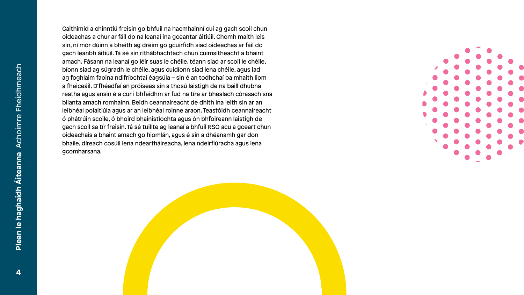- 
- 
- 
- 
- 
- 
- 
- 
- 
- 
- 
- 
- 
- 
- 



Caithimid a chinntiú freisin go bhfuil na hacmhainní cuí ag gach scoil chun oideachas a chur ar fáil do na leanaí ina gceantar áitiúil. Chomh maith leis sin, ní mór dúinn a bheith ag dréim go gcuirfidh siad oideachas ar fáil do gach leanbh áitiúil. Tá sé sin ríthábhachtach chun cuimsitheacht a bhaint amach. Fásann na leanaí go léir suas le chéile, téann siad ar scoil le chéile, bíonn siad ag súgradh le chéile, agus cuidíonn siad lena chéile, agus iad ag foghlaim faoina ndifríochtaí éagsúla – sin é an todhchaí ba mhaith liom a fheiceáil. D'fhéadfaí an próiseas sin a thosú laistigh de na baill dhubha reatha agus ansin é a cur i bhfeidhm ar fud na tíre ar bhealach córasach sna blianta amach romhainn. Beidh ceannaireacht de dhíth ina leith sin ar an leibhéal polaitiúla agus ar an leibhéal roinne araon. Teastóidh ceannaireacht ó phátrúin scoile, ó bhoird bhainistíochta agus ón bhfoireann laistigh de gach scoil sa tír freisin. Tá sé tuillte ag leanaí a bhfuil RSO acu a gceart chun oideachais a bhaint amach go hiomlán, agus é sin a dhéanamh gar don bhaile, díreach cosúil lena ndeartháireacha, lena ndeirfiúracha agus lena gcomharsana.

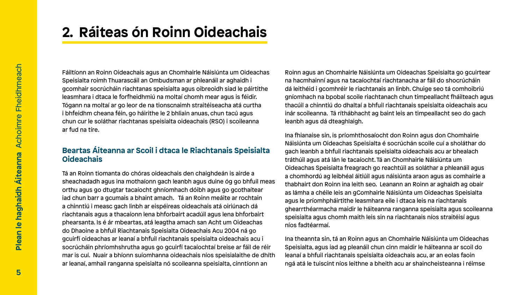## **Oideachais**

**2. Ráiteas ón Roinn Oideachais** Fáiltíonn an Roinn Oideachais agus an Chomhairle Náisiúnta um Oideachas Speisialta roimh Thuarascáil an Ombudsman ar phleanáil ar aghaidh i gcomhair socrúcháin riachtanas speisialta agus oibreoidh siad le páirtithe leasmhara i dtaca le forfheidhmiú na moltaí chomh mear agus is féidir. Tógann na moltaí ar go leor de na tionscnaimh straitéiseacha atá curtha i bhfeidhm cheana féin, go háirithe le 2 bhliain anuas, chun tacú agus chun cur le soláthar riachtanas speisialta oideachais (RSO) i scoileanna ar fud na tíre. **Beartas Áiteanna ar Scoil i dtaca le Riachtanais Speisialta**  Tá an Roinn tiomanta do chóras oideachais den chaighdeán is airde a sheachadadh agus ina mothaíonn gach leanbh agus duine óg go bhfuil meas orthu agus go dtugtar tacaíocht ghníomhach dóibh agus go gcothaítear iad chun barr a gcumais a bhaint amach. Tá an Roinn meáite ar rochtain a chinntiú i measc gach linbh ar eispéireas oideachais atá oiriúnach dá riachtanais agus a thacaíonn lena bhforbairt acadúil agus lena bhforbairt phearsanta. Is é ár mbeartas, atá leagtha amach san Acht um Oideachas do Dhaoine a bhfuil Riachtanais Speisialta Oideachais Acu 2004 ná go gcuirfí oideachas ar leanaí a bhfuil riachtanais speisialta oideachais acu i socrúcháin phríomhshrutha agus go gcuirfí tacaíochtaí breise ar fáil de réir mar is cuí. Nuair a bhíonn suíomhanna oideachais níos speisialaithe de dhíth ar leanaí, amhail ranganna speisialta nó scoileanna speisialta, cinntíonn an Roinn agus an Chomhairle Náisiúnta um Oideachas Speisialta go gcuirtear na hacmhainní agus na tacaíochtaí riachtanacha ar fáil do shocrúcháin dá leithéid i gcomhréir le riachtanais an linbh. Chuige seo tá comhoibriú gníomhach na bpobal scoile riachtanach chun timpeallacht fháilteach agus thacúil a chinntiú do dhaltaí a bhfuil riachtanais speisialta oideachais acu inár scoileanna. Tá ríthábhacht ag baint leis an timpeallacht seo do gach leanbh agus dá dteaghlaigh. Ina fhianaise sin, is príomhthosaíocht don Roinn agus don Chomhairle Náisiúnta um Oideachas Speisialta é socrúchán scoile cuí a sholáthar do gach leanbh a bhfuil riachtanais speisialta oideachais acu ar bhealach tráthúil agus atá lán le tacaíocht. Tá an Chomhairle Náisiúnta um Oideachas Speisialta freagrach go reachtúil as soláthar a phleanáil agus a chomhordú ag leibhéal áitiúil agus náisiúnta araon agus as comhairle a thabhairt don Roinn ina leith seo. Leanann an Roinn ar aghaidh ag obair as lámha a chéile leis an gComhairle Náisiúnta um Oideachas Speisialta agus le príomhpháirtithe leasmhara eile i dtaca leis na riachtanais ghearrthéarmacha maidir le háiteanna ranganna speisialta agus scoileanna speisialta agus chomh maith leis sin na riachtanais níos straitéisí agus níos fadtéarmaí. Ina theannta sin, tá an Roinn agus an Chomhairle Náisiúnta um Oideachas Speisialta, agus iad ag pleanáil chun cinn maidir le háiteanna ar scoil do leanaí a bhfuil riachtanais speisialta oideachais acu, ar an eolas faoin ngá atá le tuiscint níos leithne a bheith acu ar shaincheisteanna i réimse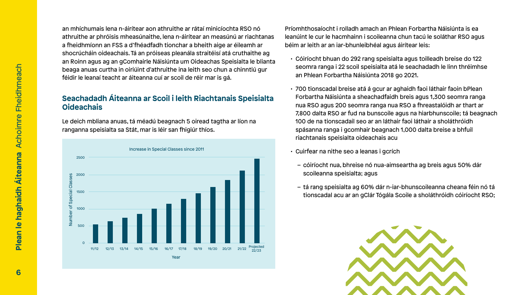

an mhíchumais lena n-áirítear aon athruithe ar rátaí minicíochta RSO nó athruithe ar phróisis mheasúnaithe, lena n-áirítear an measúnú ar riachtanas a fheidhmíonn an FSS a d'fhéadfadh tionchar a bheith aige ar éileamh ar shocrúcháin oideachais. Tá an próiseas pleanála straitéisí atá cruthaithe ag an Roinn agus ag an gComhairle Náisiúnta um Oideachas Speisialta le blianta beaga anuas curtha in oiriúint d'athruithe ina leith seo chun a chinntiú gur féidir le leanaí teacht ar áiteanna cuí ar scoil de réir mar is gá. Príomhthosaíocht i rolladh amach an Phlean Forbartha Náisiúnta is ea leanúint le cur le hacmhainn i scoileanna chun tacú le soláthar RSO agus béim ar leith ar an iar-bhunleibhéal agus áirítear leis: • Cóiríocht bhuan do 292 rang speisialta agus toilleadh breise do 122 an Phlean Forbartha Náisiúnta 2018 go 2021.

#### **Seachadadh Áiteanna ar Scoil i leith Riachtanais Speisialta Oideachais**

Le deich mbliana anuas, tá méadú beagnach 5 oiread tagtha ar líon na ranganna speisialta sa Stát, mar is léir san fhigiúr thíos.

- seomra ranga i 22 scoil speisialta atá le seachadadh le linn thréimhse
- 700 tionscadal breise atá á gcur ar aghaidh faoi láthair faoin bPlean Forbartha Náisiúnta a sheachadfaidh breis agus 1,300 seomra ranga nua RSO agus 200 seomra ranga nua RSO a fhreastalóidh ar thart ar 7,800 dalta RSO ar fud na bunscoile agus na hiarbhunscoile; tá beagnach 100 de na tionscadail seo ar an láthair faoi láthair a sholáthróidh spásanna ranga i gcomhair beagnach 1,000 dalta breise a bhfuil riachtanais speisialta oideachais acu
- Cuirfear na nithe seo a leanas i gcrích
	- cóiríocht nua, bhreise nó nua-aimseartha ag breis agus 50% dár scoileanna speisialta; agus
	- tá rang speisialta ag 60% dár n-iar-bhunscoileanna cheana féin nó tá tionscadal acu ar an gClár Tógála Scoile a sholáthróidh cóiríocht RSO;

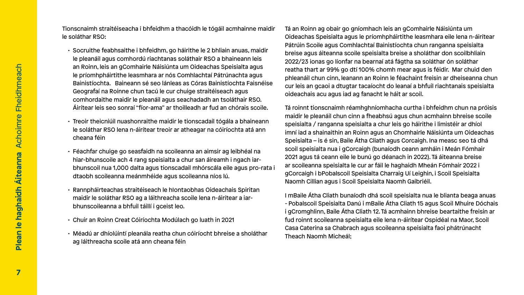- 
- 
- 
- 
- 
- Méadú ar dhíolúintí pleanála reatha chun cóiríocht bhreise a sholáthar ag láithreacha scoile atá ann cheana féin

Tionscnaimh straitéiseacha i bhfeidhm a thacóidh le tógáil acmhainne maidir le soláthar RSO: • Socruithe feabhsaithe i bhfeidhm, go háirithe le 2 bhliain anuas, maidir le pleanáil agus comhordú riachtanas soláthair RSO a bhaineann leis an Roinn, leis an gComhairle Náisiúnta um Oideachas Speisialta agus le príomhpháirtithe leasmhara ar nós Comhlachtaí Pátrúnachta agus Bainistíochta. Baineann sé seo lánleas as Córas Bainistíochta Faisnéise Geografaí na Roinne chun tacú le cur chuige straitéiseach agus comhordaithe maidir le pleanáil agus seachadadh an tsoláthair RSO. Áirítear leis seo sonraí "fíor-ama" ar thoilleadh ar fud an chórais scoile. • Treoir theicniúil nuashonraithe maidir le tionscadail tógála a bhaineann le soláthar RSO lena n-áirítear treoir ar atheagar na cóiríochta atá ann cheana féin • Féachfar chuige go seasfaidh na scoileanna an aimsir ag leibhéal na hiar-bhunscoile ach 4 rang speisialta a chur san áireamh i ngach iarbhunscoil nua 1,000 dalta agus tionscadail mhórscála eile agus pro-rata i dtaobh scoileanna meánmhéide agus scoileanna níos lú. • Rannpháirteachas straitéiseach le hIontaobhas Oideachais Spiritan maidir le soláthar RSO ag a láithreacha scoile lena n-áirítear a iarbhunscoileanna a bhfuil táillí i gceist leo. • Chuir an Roinn Creat Cóiríochta Modúlach go luath in 2021 Tá an Roinn ag obair go gníomhach leis an gComhairle Náisiúnta um Oideachas Speisialta agus le príomhpháirtithe leasmhara eile lena n-áirítear Pátrúin Scoile agus Comhlachtaí Bainistíochta chun ranganna speisialta breise agus áiteanna scoile speisialta breise a sholáthar don scoilbhliain 2022/23 ionas go líonfar na bearnaí atá fágtha sa soláthar ón soláthar reatha thart ar 99% go dtí 100% chomh mear agus is féidir. Mar chuid den phleanáil chun cinn, leanann an Roinn le féachaint freisin ar dheiseanna chun cur leis an gcaoi a dtugtar tacaíocht do leanaí a bhfuil riachtanais speisialta oideachais acu agus iad ag fanacht le háit ar scoil. Tá roinnt tionscnaimh réamhghníomhacha curtha i bhfeidhm chun na próisis maidir le pleanáil chun cinn a fheabhsú agus chun acmhainn bhreise scoile speisialta / ranganna speisialta a chur leis go háirithe i limistéir ar dhíol imní iad a shainaithin an Roinn agus an Chomhairle Náisiúnta um Oideachas Speisialta – is é sin, Baile Átha Cliath agus Corcaigh. Ina measc seo tá dhá scoil speisialta nua i gCorcaigh (bunaíodh ceann amháin i Meán Fómhair 2021 agus tá ceann eile le bunú go déanach in 2022). Tá áiteanna breise ar scoileanna speisialta le cur ar fáil le haghaidh Mheán Fómhair 2022 i gCorcaigh i bPobalscoil Speisialta Charraig Uí Leighin, i Scoil Speisialta Naomh Cillian agus i Scoil Speisialta Naomh Gaibriéil. I mBaile Átha Cliath bunaíodh dhá scoil speisialta nua le blianta beaga anuas - Pobalscoil Speisialta Danú i mBaile Átha Cliath 15 agus Scoil Mhuire Dóchais i gCromghlinn, Baile Átha Cliath 12. Tá acmhainn bhreise beartaithe freisin ar fud roinnt scoileanna speisialta eile lena n-áirítear Ospidéal na Maor, Scoil

Casa Caterina sa Chabrach agus scoileanna speisialta faoi phátrúnacht

Theach Naomh Micheál;







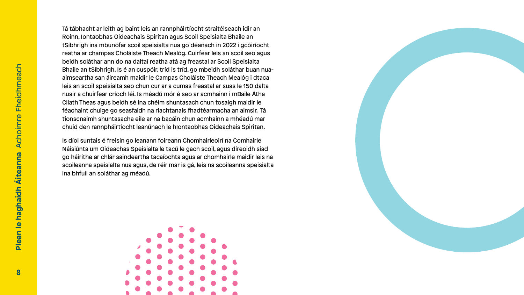- 
- 
- 
- 
- 
- 
- 
- 
- 
- 
- 
- 
- 
- 
- 



Tá tábhacht ar leith ag baint leis an rannpháirtíocht straitéiseach idir an Roinn, Iontaobhas Oideachais Spiritan agus Scoil Speisialta Bhaile an tSíbhrigh ina mbunófar scoil speisialta nua go déanach in 2022 i gcóiríocht reatha ar champas Choláiste Theach Mealóg. Cuirfear leis an scoil seo agus beidh soláthar ann do na daltaí reatha atá ag freastal ar Scoil Speisialta Bhaile an tSíbhrigh. Is é an cuspóir, tríd is tríd, go mbeidh soláthar buan nuaaimseartha san áireamh maidir le Campas Choláiste Theach Mealóg i dtaca leis an scoil speisialta seo chun cur ar a cumas freastal ar suas le 150 dalta nuair a chuirfear críoch léi. Is méadú mór é seo ar acmhainn i mBaile Átha Cliath Theas agus beidh sé ina chéim shuntasach chun tosaigh maidir le féachaint chuige go seasfaidh na riachtanais fhadtéarmacha an aimsir. Tá tionscnaimh shuntasacha eile ar na bacáin chun acmhainn a mhéadú mar chuid den rannpháirtíocht leanúnach le hIontaobhas Oideachais Spiritan.

Is díol suntais é freisin go leanann foireann Chomhairleoirí na Comhairle Náisiúnta um Oideachas Speisialta le tacú le gach scoil, agus díreoidh siad go háirithe ar chlár saindeartha tacaíochta agus ar chomhairle maidir leis na scoileanna speisialta nua agus, de réir mar is gá, leis na scoileanna speisialta ina bhfuil an soláthar ag méadú.

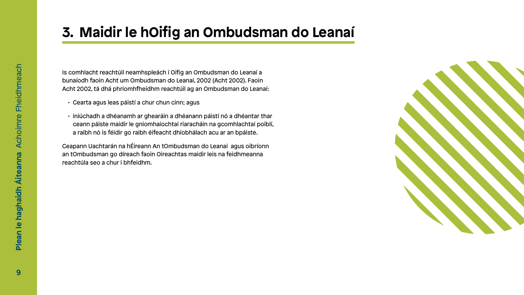

Is comhlacht reachtúil neamhspleách í Oifig an Ombudsman do Leanaí a bunaíodh faoin Acht um Ombudsman do Leanaí, 2002 (Acht 2002). Faoin Acht 2002, tá dhá phríomhfheidhm reachtúil ag an Ombudsman do Leanaí:

- Cearta agus leas páistí a chur chun cinn; agus
- iniúchadh a dhéanamh ar ghearáin a dhéanann páistí nó a dhéantar thar ceann páiste maidir le gníomhaíochtaí riaracháin na gcomhlachtaí poiblí, a raibh nó is féidir go raibh éifeacht dhíobhálach acu ar an bpáiste.

Ceapann Uachtarán na hÉireann An tOmbudsman do Leanaí agus oibríonn an tOmbudsman go díreach faoin Oireachtas maidir leis na feidhmeanna reachtúla seo a chur i bhfeidhm.

## **3. Maidir le hOifig an Ombudsman do Leanaí**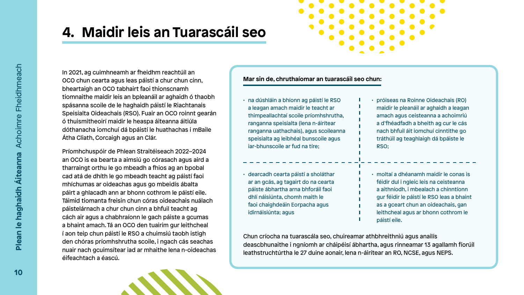

In 2021, ag cuimhneamh ar fheidhm reachtúil an OCO chun cearta agus leas páistí a chur chun cinn, bheartaigh an OCO tabhairt faoi thionscnamh tiomnaithe maidir leis an bpleanáil ar aghaidh ó thaobh spásanna scoile de le haghaidh páistí le Riachtanais Speisialta Oideachais (RSO). Fuair an OCO roinnt gearán ó thuismitheoirí maidir le heaspa áiteanna áitiúla dóthanacha iomchuí dá bpáistí le huathachas i mBaile Átha Cliath, Corcaigh agus an Clár.

Príomhchuspóir de Phlean Straitéiseach 2022–2024 an OCO is ea bearta a aimsiú go córasach agus aird a tharraingt orthu le go mbeadh a fhios ag an bpobal cad atá de dhíth le go mbeadh teacht ag páistí faoi mhíchumas ar oideachas agus go mbeidís ábalta páirt a ghlacadh ann ar bhonn cothrom le páistí eile. Táimid tiomanta freisin chun córas oideachais nuálach páistelárnach a chur chun cinn a bhfuil teacht ag cách air agus a chabhraíonn le gach páiste a gcumas a bhaint amach. Tá an OCO den tuairim gur leithcheal í aon teip chun páistí le RSO a chuimsiú taobh istigh den chóras príomhshrutha scoile, i ngach cás seachas nuair nach gcuimsítear iad ar mhaithe lena n-oideachas éifeachtach a éascú.

## **4. Maidir leis an Tuarascáil seo**

• na dúshláin a bhíonn ag páistí le RSO a leagan amach maidir le teacht ar thimpeallachtaí scoile príomhshrutha, ranganna speisialta (lena n-áirítear ranganna uathachais), agus scoileanna speisialta ag leibhéal bunscoile agus iar-bhunscoile ar fud na tíre;

• dearcadh cearta páistí a sholáthar ar an gcás, ag tagairt do na cearta páiste ábhartha arna bhforáil faoi dhlí náisiúnta, chomh maith le faoi chaighdeáin Eorpacha agus idirnáisiúnta; agus

- próiseas na Roinne Oideachais (RO) maidir le pleanáil ar aghaidh a leagan amach agus ceisteanna a achoimriú a d'fhéadfadh a bheith ag cur le cás nach bhfuil áit iomchuí cinntithe go tráthúil ag teaghlaigh dá bpáiste le RSO;
- moltaí a dhéanamh maidir le conas is féidir dul i ngleic leis na ceisteanna a aithníodh, i mbealach a chinntíonn gur féidir le páistí le RSO leas a bhaint as a gceart chun an oideachais, gan leithcheal agus ar bhonn cothrom le páistí eile.

### **Mar sin de, chruthaíomar an tuarascáil seo chun:**

Chun críocha na tuarascála seo, chuireamar athbhreithniú agus anailís deascbhunaithe i ngníomh ar cháipéisí ábhartha, agus rinneamar 13 agallamh fíorúil leathstruchtúrtha le 27 duine aonair, lena n-áirítear an RO, NCSE, agus NEPS.

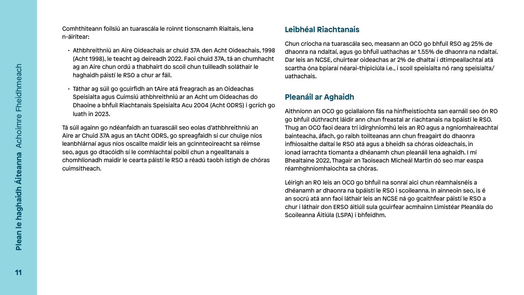Comhthiteann foilsiú an tuarascála le roinnt tionscnamh Rialtais, lena n-áirítear:

- Athbhreithniú an Aire Oideachais ar chuid 37A den Acht Oideachais, 1998 (Acht 1998), le teacht ag deireadh 2022. Faoi chuid 37A, tá an chumhacht ag an Aire chun ordú a thabhairt do scoil chun tuilleadh soláthair le haghaidh páistí le RSO a chur ar fáil.
- Táthar ag súil go gcuirfidh an tAire atá freagrach as an Oideachas Speisialta agus Cuimsiú athbhreithniú ar an Acht um Oideachas do Dhaoine a bhfuil Riachtanais Speisialta Acu 2004 (Acht ODRS) i gcrích go luath in 2023.

Tá súil againn go ndéanfaidh an tuarascáil seo eolas d'athbhreithniú an Aire ar Chuid 37A agus an tAcht ODRS, go spreagfaidh sí cur chuige níos leanbhlárnaí agus níos oscailte maidir leis an gcinnteoireacht sa réimse seo, agus go dtacóidh sí le comhlachtaí poiblí chun a ngealltanais a chomhlíonadh maidir le cearta páistí le RSO a réadú taobh istigh de chóras cuimsitheach.

### **Leibhéal Riachtanais**

Chun críocha na tuarascála seo, measann an OCO go bhfuil RSO ag 25% de dhaonra na ndaltaí, agus go bhfuil uathachas ar 1.55% de dhaonra na ndaltaí. Dar leis an NCSE, chuirtear oideachas ar 2% de dhaltaí i dtimpeallachtaí atá scartha óna bpiaraí néarai-thipiciúla i.e., i scoil speisialta nó rang speisialta/ uathachais.

### **Pleanáil ar Aghaidh**

Aithníonn an OCO go gciallaíonn fás na hinfheistíochta san earnáil seo ón RO go bhfuil dúthracht láidir ann chun freastal ar riachtanais na bpáistí le RSO. Thug an OCO faoi deara trí idirghníomhú leis an RO agus a ngníomhaireachtaí bainteacha, áfach, go raibh toilteanas ann chun freagairt do dhaonra infhiosaithe daltaí le RSO atá agus a bheidh sa chóras oideachais, in ionad iarrachta tiomanta a dhéanamh chun pleanáil lena aghaidh. I mí Bhealtaine 2022, Thagair an Taoiseach Micheál Martin dó seo mar easpa réamhghníomhaíochta sa chóras.

Léirigh an RO leis an OCO go bhfuil na sonraí aici chun réamhaisnéis a dhéanamh ar dhaonra na bpáistí le RSO i scoileanna. In ainneoin seo, is é an socrú atá ann faoi láthair leis an NCSE ná go gcaithfear páistí le RSO a chur i láthair don ERSO áitiúil sula gcuirfear acmhainn Limistéar Pleanála do Scoileanna Áitiúla (LSPA) i bhfeidhm.

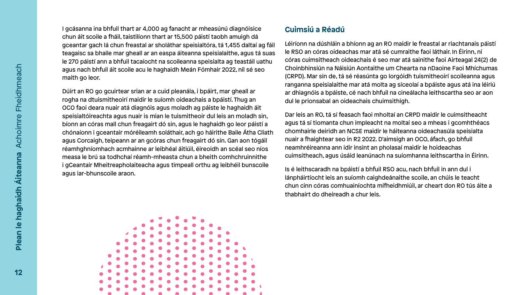I gcásanna ina bhfuil thart ar 4,000 ag fanacht ar mheasúnú diagnóisice chun áit scoile a fháil, taistilíonn thart ar 15,500 páistí taobh amuigh dá gceantar gach lá chun freastal ar sholáthar speisialtóra, tá 1,455 daltaí ag fáil teagaisc sa bhaile mar gheall ar an easpa áiteanna speisialaithe, agus tá suas le 270 páistí ann a bhfuil tacaíocht na scoileanna speisialta ag teastáil uathu agus nach bhfuil áit scoile acu le haghaidh Meán Fómhair 2022, níl sé seo maith go leor.

### **Cuimsiú a Réadú**

Dúirt an RO go gcuirtear srian ar a cuid pleanála, i bpáirt, mar gheall ar rogha na dtuismitheoirí maidir le suíomh oideachais a bpáistí. Thug an OCO faoi deara nuair atá diagnóis agus moladh ag páiste le haghaidh áit speisialtóireachta agus nuair is mian le tuismitheoir dul leis an moladh sin, bíonn an córas mall chun freagairt dó sin, agus le haghaidh go leor páistí a chónaíonn i gceantair móréileamh soláthair, ach go háirithe Baile Átha Cliath agus Corcaigh, teipeann ar an gcóras chun freagairt dó sin. Gan aon tógáil réamhghníomhach acmhainne ar leibhéal áitiúil, éireoidh an scéal seo níos measa le brú sa todhchaí réamh-mheasta chun a bheith comhchruinnithe i gCeantair Mheitreapholaiteacha agus timpeall orthu ag leibhéil bunscoile agus iar-bhunscoile araon. dul le prionsabal an oideachais chuimsithigh. Dar leis an RO, tá sí feasach faoi mholtaí an CRPD maidir le cuimsitheacht agus tá sí tiomanta chun impleacht na moltaí seo a mheas i gcomhthéacs chomhairle deiridh an NCSE maidir le háiteanna oideachasúla speisialta nuair a fhaightear seo in R2 2022. D'aimsigh an OCO, áfach, go bhfuil neamhréireanna ann idir insint an pholasaí maidir le hoideachas cuimsitheach, agus úsáid leanúnach na suíomhanna leithscartha in Éirinn. Is é leithscaradh na bpáistí a bhfuil RSO acu, nach bhfuil in ann dul i



Léiríonn na dúshláin a bhíonn ag an RO maidir le freastal ar riachtanais páistí le RSO an córas oideachas mar atá sé cumraithe faoi láthair. In Éirinn, ní córas cuimsitheach oideachais é seo mar atá sainithe faoi Airteagal 24(2) de Choinbhinsiún na Náisiún Aontaithe um Chearta na nDaoine Faoi Mhíchumas (CRPD). Mar sin de, tá sé réasúnta go lorgóidh tuismitheoirí scoileanna agus ranganna speisialaithe mar atá molta ag síceolaí a bpáiste agus atá ina léiriú ar dhiagnóis a bpáiste, cé nach bhfuil na cineálacha leithscartha seo ar aon

lánpháirtíocht leis an suíomh caighdeánaithe scoile, an chúis le teacht chun cinn córas comhuainíochta mífheidhmiúil, ar cheart don RO tús áite a thabhairt do dheireadh a chur leis.

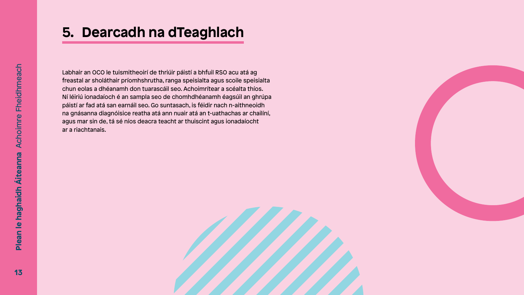



Labhair an OCO le tuismitheoirí de thriúir páistí a bhfuil RSO acu atá ag freastal ar sholáthair príomhshrutha, ranga speisialta agus scoile speisialta chun eolas a dhéanamh don tuarascáil seo. Achoimrítear a scéalta thíos. Ní léiriú ionadaíoch é an sampla seo de chomhdhéanamh éagsúil an ghrúpa páistí ar fad atá san earnáil seo. Go suntasach, is féidir nach n-aithneoidh na gnásanna diagnóisice reatha atá ann nuair atá an t-uathachas ar chailíní, agus mar sin de, tá sé níos deacra teacht ar thuiscint agus ionadaíocht ar a riachtanais.

### **5. Dearcadh na dTeaghlach**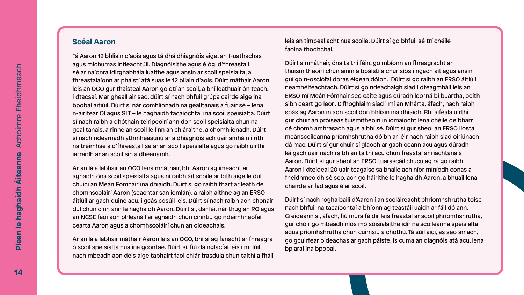#### **Scéal Aaron**

Tá Aaron 12 bhliain d'aois agus tá dhá dhiagnóis aige, an t-uathachas agus míchumas intleachtúil. Diagnóisithe agus é óg, d'fhreastail sé ar naíonra idirghabhála luaithe agus ansin ar scoil speisialta, a fhreastalaíonn ar pháistí atá suas le 12 bliain d'aois. Dúirt máthair Aaron leis an OCO gur thaisteal Aaron go dtí an scoil, a bhí leathuair ón teach, i dtacsaí. Mar gheall air seo, dúirt sí nach bhfuil grúpa cairde aige ina bpobal áitiúil. Dúirt sí nár comhlíonadh na gealltanais a fuair sé – lena n-áirítear OI agus SLT – le haghaidh tacaíochtaí ina scoil speisialta. Dúirt sí nach raibh a dhóthain teiripeoirí ann don scoil speisialta chun na gealltanais, a rinne an scoil le linn an chláraithe, a chomhlíonadh. Dúirt sí nach ndearnadh athmheasúnú ar a dhiagnóis ach uair amháin i rith na tréimhse a d'fhreastail sé ar an scoil speisialta agus go raibh uirthi iarraidh ar an scoil sin a dhéanamh.

Ar an lá a labhair an OCO lena mháthair, bhí Aaron ag imeacht ar aghaidh óna scoil speisialta agus ní raibh áit scoile ar bith aige le dul chuici an Meán Fómhair ina dhiaidh. Dúirt sí go raibh thart ar leath de chomhscoláirí Aaron (seachtar san iomlán), a raibh aithne ag an ERSO áitiúil ar gach duine acu, i gcás cosúil leis. Dúirt sí nach raibh aon chonair dul chun cinn ann le haghaidh Aaron. Dúirt sí, dar léi, nár thug an RO agus an NCSE faoi aon phleanáil ar aghaidh chun cinntiú go ndeimhneofaí cearta Aaron agus a chomhscoláirí chun an oideachais.

Ar an lá a labhair máthair Aaron leis an OCO, bhí sí ag fanacht ar fhreagra ó scoil speisialta nua ina gcontae. Dúirt sí, fiú dá nglacfaí leis i mí Iúil, nach mbeadh aon deis aige tabhairt faoi chlár trasdula chun taithí a fháil leis an timpeallacht nua scoile. Dúirt sí go bhfuil sé trí chéile faoina thodhchaí.

Dúirt a mháthair, óna taithí féin, go mbíonn an fhreagracht ar thuismitheoirí chun ainm a bpáistí a chur síos i ngach áit agus ansin guí go n-osclófaí doras éigean dóibh. Dúirt sí go raibh an ERSO áitiúil neamhéifeachtach. Dúirt sí go ndeachaigh siad i dteagmháil leis an ERSO mí Meán Fómhair seo caite agus dúradh leo 'ná bí buartha, beith sibh ceart go leor'. D'fhoghlaim siad i mí an Mhárta, áfach, nach raibh spás ag Aaron in aon scoil don bhliain ina dhiaidh. Bhí aiféala uirthi gur chuir an próiseas tuismitheoirí in iomaíocht lena chéile de bharr cé chomh amhrasach agus a bhí sé. Dúirt sí gur sheol an ERSO liosta meánscoileanna príomhshrutha dóibh ar léir nach raibh siad oiriúnach dá mac. Dúirt sí gur chuir sí glaoch ar gach ceann acu agus dúradh léi gach uair nach raibh an taithí acu chun freastal ar riachtanais Aaron. Dúirt sí gur sheol an ERSO tuarascáil chucu ag rá go raibh Aaron i dteideal 20 uair teagaisc sa bhaile ach níor míníodh conas a fheidhmeoidh sé seo, ach go háirithe le haghaidh Aaron, a bhuail lena chairde ar fad agus é ar scoil.

Dúirt sí nach rogha bailí d'Aaron í an scoláireacht phríomhshrutha toisc nach bhfuil na tacaíochtaí a bhíonn ag teastáil uaidh ar fáil dó ann. Creideann sí, áfach, fiú mura féidir leis freastal ar scoil phríomhshrutha, gur chóir go mbeadh níos mó sóisialaithe idir na scoileanna speisialta agus príomhshrutha chun cuimsiú a chothú. Tá súil aici, as seo amach, go gcuirfear oideachas ar gach páiste, is cuma an diagnóis atá acu, lena bpiaraí ina bpobal.

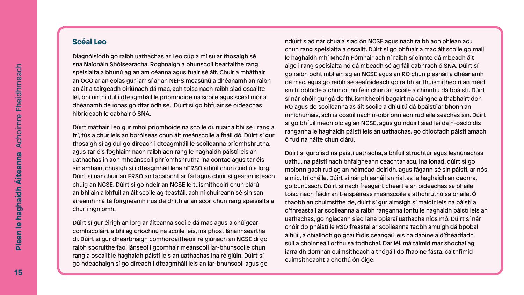### **Scéal Leo**

Diagnóisíodh go raibh uathachas ar Leo cúpla mí sular thosaigh sé sna Naíonáin Shóisearacha. Roghnaigh a bhunscoil beartaithe rang speisialta a bhunú ag an am céanna agus fuair sé áit. Chuir a mháthair an OCO ar an eolas gur iarr sí ar an NEPS measúnú a dhéanamh an raibh an áit a tairgeadh oiriúnach dá mac, ach toisc nach raibh siad oscailte léi, bhí uirthi dul i dteagmháil le príomhoide na scoile agus scéal mór a dhéanamh de ionas go dtarlódh sé. Dúirt sí go bhfuair sé oideachas hibrideach le cabhair ó SNA.

Dúirt máthair Leo gur mhol príomhoide na scoile di, nuair a bhí sé i rang a trí, tús a chur leis an bpróiseas chun áit meánscoile a fháil dó. Dúirt sí gur thosaigh sí ag dul go díreach i dteagmháil le scoileanna príomhshrutha, agus tar éis foghlaim nach raibh aon rang le haghaidh páistí leis an uathachas in aon mheánscoil phríomhshrutha ina contae agus tar éis sin amháin, chuaigh sí i dteagmháil lena hERSO áitiúil chun cuidiú a lorg. Dúirt sí nár chuir an ERSO an tacaíocht ar fáil agus chuir sí gearán isteach chuig an NCSE. Dúirt sí go ndeir an NCSE le tuismitheoirí chun clárú an bhliain a bhfuil an áit scoile ag teastáil, ach ní chuireann sé sin san áireamh má tá foirgneamh nua de dhíth ar an scoil chun rang speisialta a chur i ngníomh.

Dúirt sí gur éirigh an lorg ar áiteanna scoile dá mac agus a chúigear comhscoláirí, a bhí ag críochnú na scoile leis, ina phost lánaimseartha di. Dúirt sí gur dhearbhaigh comhordaitheoir réigiúnach an NCSE di go raibh socruithe faoi lánseol i gcomhair meánscoil iar-bhunscoile chun rang a oscailt le haghaidh páistí leis an uathachas ina réigiúin. Dúirt sí go ndeachaigh sí go díreach i dteagmháil leis an iar-bhunscoil agus go ndúirt siad nár chuala siad ón NCSE agus nach raibh aon phlean acu chun rang speisialta a oscailt. Dúirt sí go bhfuair a mac áit scoile go mall le haghaidh mhí Mheán Fómhair ach ní raibh sí cinnte dá mbeadh áit aige i rang speisialta nó dá mbeadh sé ag fáil cabhrach ó SNA. Dúirt sí go raibh ocht mbliain ag an NCSE agus an RO chun pleanáil a dhéanamh dá mac, agus go raibh sé seafóideach go raibh ar thuismitheoirí an méid sin trioblóide a chur orthu féin chun áit scoile a chinntiú dá bpáistí. Dúirt sí nár chóir gur gá do thuismitheoirí bagairt na caingne a thabhairt don RO agus do scoileanna as áit scoile a dhiúltú dá bpáistí ar bhonn an mhíchumais, ach is cosúil nach n-oibríonn aon rud eile seachas sin. Dúirt sí go bhfuil meon olc ag an NCSE, agus go ndúirt siad léi dá n-osclóidís ranganna le haghaidh páistí leis an uathachas, go dtiocfadh páistí amach ó fud na háite chun clárú.

Dúirt sí gurb iad na páistí uathacha, a bhfuil struchtúr agus leanúnachas uathu, na páistí nach bhfaigheann ceachtar acu. Ina ionad, dúirt sí go mbíonn gach rud ag an nóiméad deiridh, agus fágann sé sin páistí, ar nós a mic, trí chéile. Dúirt sí nár phleanáil an rialtas le haghaidh an daonra, go bunúsach. Dúirt sí nach freagairt cheart é an oideachas sa bhaile toisc nach féidir an t-eispéireas meánscoile a athchruthú sa bhaile. Ó thaobh an chuimsithe de, dúirt sí gur aimsigh sí maidir leis na páistí a d'fhreastail ar scoileanna a raibh ranganna iontu le haghaidh páistí leis an uathachas, go nglacann siad lena bpiaraí uathacha níos mó. Dúirt sí nár chóir do pháistí le RSO freastal ar scoileanna taobh amuigh dá bpobal áitiúil, a chiallódh go gcaillfidís ceangail leis na daoine a d'fhéadfadh súil a choinneáil orthu sa todhchaí. Dar léi, má táimid mar shochaí ag iarraidh domhan cuimsitheach a thógáil do fhaoine fásta, caithfimid cuimsitheacht a chothú ón óige.

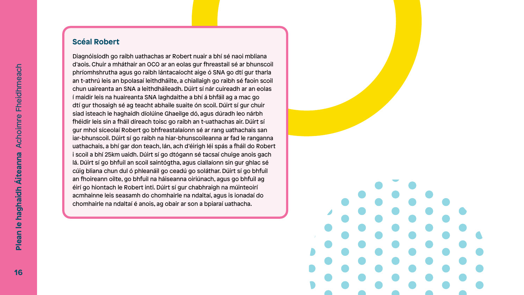#### **Scéal Robert**

Diagnóisíodh go raibh uathachas ar Robert nuair a bhí sé naoi mbliana d'aois. Chuir a mháthair an OCO ar an eolas gur fhreastail sé ar bhunscoil phríomhshrutha agus go raibh lántacaíocht aige ó SNA go dtí gur tharla an t-athrú leis an bpolasaí leithdháilte, a chiallaigh go raibh sé faoin scoil chun uaireanta an SNA a leithdháileadh. Dúirt sí nár cuireadh ar an eolas í maidir leis na huaireanta SNA laghdaithe a bhí á bhfáil ag a mac go dtí gur thosaigh sé ag teacht abhaile suaite ón scoil. Dúirt sí gur chuir siad isteach le haghaidh díolúine Ghaeilge dó, agus dúradh leo nárbh fhéidir leis sin a fháil díreach toisc go raibh an t-uathachas air. Dúirt sí gur mhol síceolaí Robert go bhfreastalaíonn sé ar rang uathachais san iar-bhunscoil. Dúirt sí go raibh na hiar-bhunscoileanna ar fad le ranganna uathachais, a bhí gar don teach, lán, ach d'éirigh léi spás a fháil do Robert i scoil a bhí 25km uaidh. Dúirt sí go dtógann sé tacsaí chuige anois gach lá. Dúirt sí go bhfuil an scoil saintógtha, agus ciallaíonn sin gur ghlac sé cúig bliana chun dul ó phleanáil go ceadú go soláthar. Dúirt sí go bhfuil an fhoireann oilte, go bhfuil na háiseanna oiriúnach, agus go bhfuil ag éirí go hiontach le Robert inti. Dúirt sí gur chabhraigh na múinteoirí acmhainne leis seasamh do chomhairle na ndaltaí, agus is ionadaí do chomhairle na ndaltaí é anois, ag obair ar son a bpiaraí uathacha.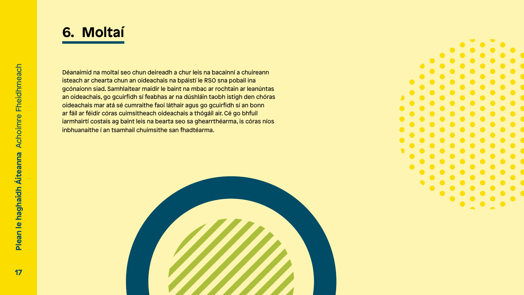- 
- 
- 



Déanaimid na moltaí seo chun deireadh a chur leis na bacainní a chuireann isteach ar chearta chun an oideachais na bpáistí le RSO sna pobail ina gcónaíonn siad. Samhlaítear maidir le baint na mbac ar rochtain ar leanúntas an oideachais, go gcuirfidh sí feabhas ar na dúshláin taobh istigh den chóras oideachais mar atá sé cumraithe faoi láthair agus go gcuirfidh sí an bonn ar fáil ar féidir córas cuimsitheach oideachais a thógáil air. Cé go bhfuil iarmhairtí costais ag baint leis na bearta seo sa ghearrthéarma, is córas níos inbhuanaithe í an tsamhail chuimsithe san fhadtéarma.



## **6. Moltaí**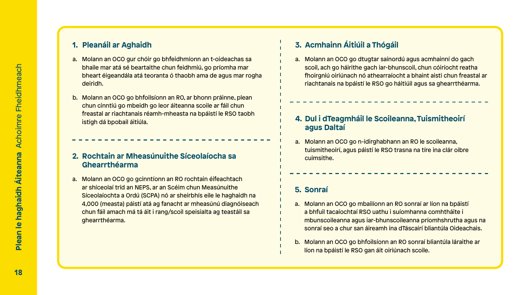#### **1. Pleanáil ar Aghaidh**

- a. Molann an OCO gur chóir go bhfeidhmíonn an t-oideachas sa bhaile mar atá sé beartaithe chun feidhmiú, go príomha mar bheart éigeandála atá teoranta ó thaobh ama de agus mar rogha deiridh.
- b. Molann an OCO go bhfoilsíonn an RO, ar bhonn práinne, plean chun cinntiú go mbeidh go leor áiteanna scoile ar fáil chun freastal ar riachtanais réamh-mheasta na bpáistí le RSO taobh istigh dá bpobail áitiúla.

#### **2. Rochtain ar Mheasúnuithe Síceolaíocha sa Ghearrthéarma**

a. Molann an OCO go n-idirghabhann an RO le scoileanna, tuismitheoirí, agus páistí le RSO trasna na tíre ina clár oibre cuimsithe.

a. Molann an OCO go gcinntíonn an RO rochtain éifeachtach ar shíceolaí tríd an NEPS, ar an Scéim chun Measúnuithe Síceolaíochta a Ordú (SCPA) nó ar sheirbhís eile le haghaidh na 4,000 (measta) páistí atá ag fanacht ar mheasúnú diagnóiseach chun fáil amach má tá áit i rang/scoil speisialta ag teastáil sa ghearrthéarma.

#### **4. Dul i dTeagmháil le Scoileanna, Tuismitheoirí agus Daltaí**

### **3. Acmhainn Áitiúil a Thógáil**

a. Molann an OCO go dtugtar sainordú agus acmhainní do gach scoil, ach go háirithe gach iar-bhunscoil, chun cóiríocht reatha fhoirgniú oiriúnach nó athearraíocht a bhaint aisti chun freastal ar riachtanais na bpáistí le RSO go háitiúil agus sa ghearrthéarma.

#### **5. Sonraí**

- a. Molann an OCO go mbailíonn an RO sonraí ar líon na bpáistí a bhfuil tacaíochtaí RSO uathu i suíomhanna comhtháite i mbunscoileanna agus iar-bhunscoileanna príomhshrutha agus na sonraí seo a chur san áireamh ina dTáscairí bliantúla Oideachais.
- b. Molann an OCO go bhfoilsíonn an RO sonraí bliantúla láraithe ar líon na bpáistí le RSO gan áit oiriúnach scoile.

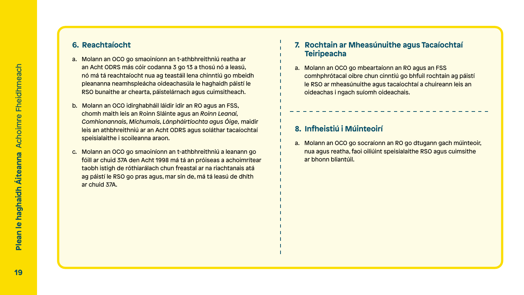#### **6. Reachtaíocht**

- a. Molann an OCO go smaoiníonn an t-athbhreithniú reatha ar an Acht ODRS más cóir codanna 3 go 13 a thosú nó a leasú, nó má tá reachtaíocht nua ag teastáil lena chinntiú go mbeidh pleananna neamhspleácha oideachasúla le haghaidh páistí le RSO bunaithe ar chearta, páistelárnach agus cuimsitheach.
- b. Molann an OCO idirghabháil láidir idir an RO agus an FSS, chomh maith leis an Roinn Sláinte agus an *Roinn Leanaí, Comhionannais, Míchumais, Lánpháirtíochta agus Óige,* maidir leis an athbhreithniú ar an Acht ODRS agus soláthar tacaíochtaí speisialaithe i scoileanna araon.
- c. Molann an OCO go smaoiníonn an t-athbhreithniú a leanann go fóill ar chuid 37A den Acht 1998 má tá an próiseas a achoimrítear taobh istigh de róthiarálach chun freastal ar na riachtanais atá ag páistí le RSO go pras agus, mar sin de, má tá leasú de dhíth ar chuid 37A.

#### **7. Rochtain ar Mheasúnuithe agus Tacaíochtaí Teiripeacha**

a. Molann an OCO go mbeartaíonn an RO agus an FSS comhphrótacal oibre chun cinntiú go bhfuil rochtain ag páistí le RSO ar mheasúnuithe agus tacaíochtaí a chuireann leis an oideachas i ngach suíomh oideachais.

### **8. Infheistiú i Múinteoirí**

a. Molann an OCO go socraíonn an RO go dtugann gach múinteoir, nua agus reatha, faoi oiliúint speisialaithe RSO agus cuimsithe ar bhonn bliantúil.